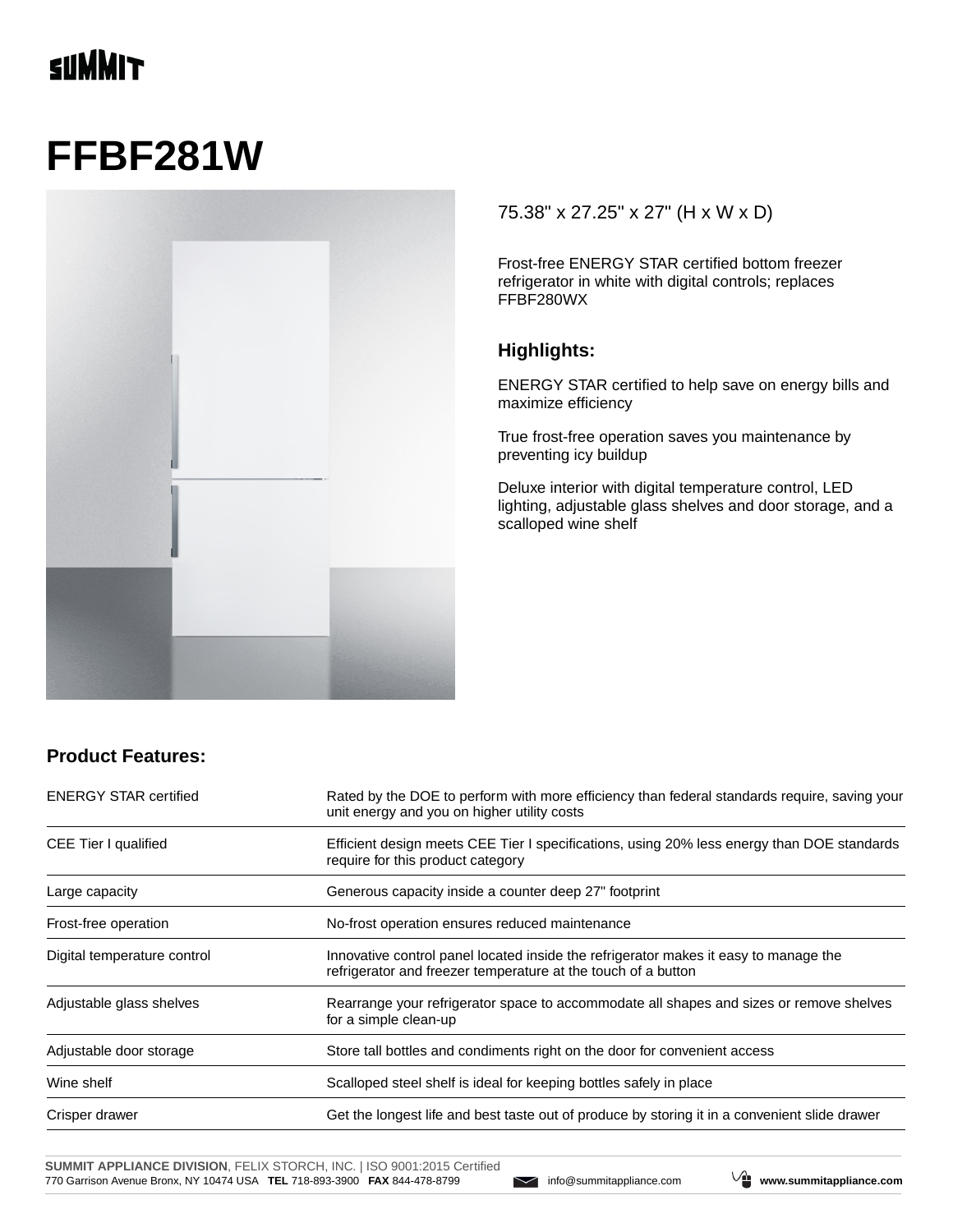## **TINNIT**

# **FFBF281W**



#### 75.38" x 27.25" x 27" (H x W x D)

Frost-free ENERGY STAR certified bottom freezer refrigerator in white with digital controls; replaces FFBF280WX

#### **Highlights:**

ENERGY STAR certified to help save on energy bills and maximize efficiency

True frost-free operation saves you maintenance by preventing icy buildup

Deluxe interior with digital temperature control, LED lighting, adjustable glass shelves and door storage, and a scalloped wine shelf

#### **Product Features:**

| <b>ENERGY STAR certified</b> | Rated by the DOE to perform with more efficiency than federal standards require, saving your<br>unit energy and you on higher utility costs           |  |
|------------------------------|-------------------------------------------------------------------------------------------------------------------------------------------------------|--|
| CEE Tier I qualified         | Efficient design meets CEE Tier I specifications, using 20% less energy than DOE standards<br>require for this product category                       |  |
| Large capacity               | Generous capacity inside a counter deep 27" footprint                                                                                                 |  |
| Frost-free operation         | No-frost operation ensures reduced maintenance                                                                                                        |  |
| Digital temperature control  | Innovative control panel located inside the refrigerator makes it easy to manage the<br>refrigerator and freezer temperature at the touch of a button |  |
| Adjustable glass shelves     | Rearrange your refrigerator space to accommodate all shapes and sizes or remove shelves<br>for a simple clean-up                                      |  |
| Adjustable door storage      | Store tall bottles and condiments right on the door for convenient access                                                                             |  |
| Wine shelf                   | Scalloped steel shelf is ideal for keeping bottles safely in place                                                                                    |  |
| Crisper drawer               | Get the longest life and best taste out of produce by storing it in a convenient slide drawer                                                         |  |